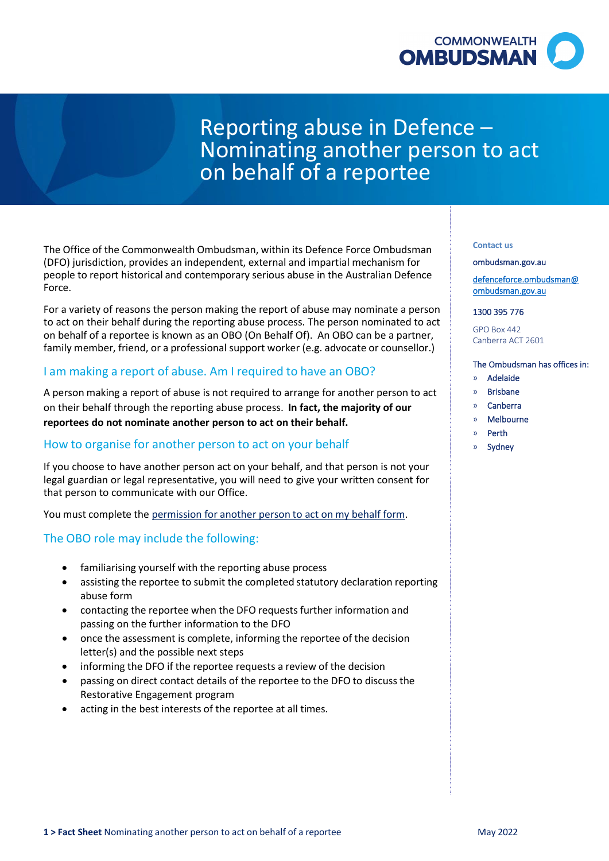

# Reporting abuse in Defence – Nominating another person to act on behalf of a reportee

 The Office of the Commonwealth Ombudsman, within its Defence Force Ombudsman people to report historical and contemporary serious abuse in the Australian Defence (DFO) jurisdiction, provides an independent, external and impartial mechanism for Force.

 to act on their behalf during the reporting abuse process. The person nominated to act on behalf of a reportee is known as an OBO (On Behalf Of). An OBO can be a partner, family member, friend, or a professional support worker (e.g. advocate or counsellor.) For a variety of reasons the person making the report of abuse may nominate a person

# I am making a report of abuse. Am I required to have an OBO?

 A person making a report of abuse is not required to arrange for another person to act on their behalf through the reporting abuse process. **In fact, the majority of our reportees do not nominate another person to act on their behalf.** 

### How to organise for another person to act on your behalf

 If you choose to have another person act on your behalf, and that person is not your legal guardian or legal representative, you will need to give your written consent for that person to communicate with our Office.

You must complete the [permission for another person to act on my behalf form.](https://www.ombudsman.gov.au/__data/assets/pdf_file/0018/24408/obo_form.pdf)

### The OBO role may include the following:

- familiarising yourself with the reporting abuse process
- • assisting the reportee to submit the completed statutory declaration reporting abuse form
- • contacting the reportee when the DFO requests further information and passing on the further information to the DFO
- • once the assessment is complete, informing the reportee of the decision letter(s) and the possible next steps
- informing the DFO if the reportee requests a review of the decision
- • passing on direct contact details of the reportee to the DFO to discuss the Restorative Engagement program
- acting in the best interests of the reportee at all times.

#### **Contact us**

#### [ombudsman.gov.au](http://www.ombudsman.gov.au/)

[defenceforce.ombudsman@](mailto:defenceforce.ombudsman@ombudsman.gov.au)  [ombudsman.gov.au](mailto:defenceforce.ombudsman@ombudsman.gov.au) 

#### 1300 395 776

GPO Box 442 Canberra ACT 2601

#### The Ombudsman has offices in:

- » Adelaide
- » Brisbane
- » Canberra
- » Melbourne
- » Perth
- » Sydney